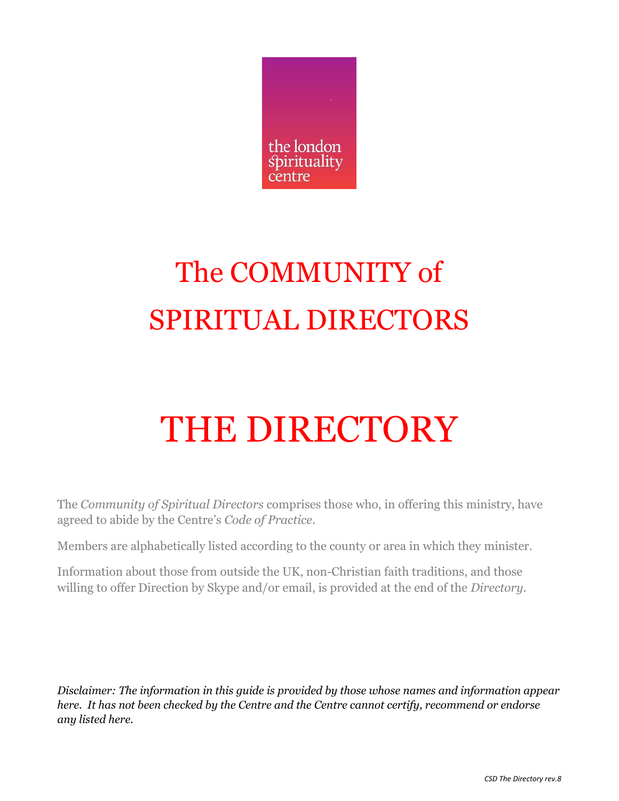

# The COMMUNITY of SPIRITUAL DIRECTORS

# THE DIRECTORY

The *Community of Spiritual Directors* comprises those who, in offering this ministry, have agreed to abide by the Centre's *Code of Practice*.

Members are alphabetically listed according to the county or area in which they minister.

Information about those from outside the UK, non-Christian faith traditions, and those willing to offer Direction by Skype and/or email, is provided at the end of the *Directory.*

*Disclaimer: The information in this guide is provided by those whose names and information appear here. It has not been checked by the Centre and the Centre cannot certify, recommend or endorse any listed here.*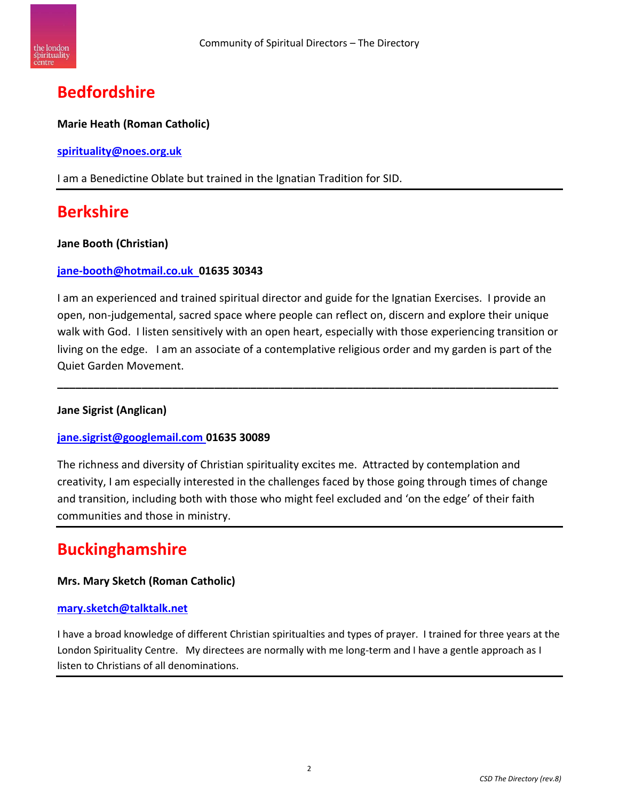

## **Bedfordshire**

#### **Marie Heath (Roman Catholic)**

**[spirituality@noes.org.uk](mailto:spirituality@noes.org.uk)**

I am a Benedictine Oblate but trained in the Ignatian Tradition for SID.

## **Berkshire**

#### **Jane Booth (Christian)**

#### **[jane-booth@hotmail.co.uk](mailto:jane-booth@hotmail.co.uk) 01635 30343**

I am an experienced and trained spiritual director and guide for the Ignatian Exercises. I provide an open, non-judgemental, sacred space where people can reflect on, discern and explore their unique walk with God. I listen sensitively with an open heart, especially with those experiencing transition or living on the edge. I am an associate of a contemplative religious order and my garden is part of the Quiet Garden Movement.

**\_\_\_\_\_\_\_\_\_\_\_\_\_\_\_\_\_\_\_\_\_\_\_\_\_\_\_\_\_\_\_\_\_\_\_\_\_\_\_\_\_\_\_\_\_\_\_\_\_\_\_\_\_\_\_\_\_\_\_\_\_\_\_\_\_\_\_\_\_\_\_\_\_\_\_\_\_\_\_\_\_\_\_**

#### **Jane Sigrist (Anglican)**

#### **[jane.sigrist@googlemail.com](mailto:jane.sigrist@googlemail.com) 01635 30089**

The richness and diversity of Christian spirituality excites me. Attracted by contemplation and creativity, I am especially interested in the challenges faced by those going through times of change and transition, including both with those who might feel excluded and 'on the edge' of their faith communities and those in ministry.

## **Buckinghamshire**

#### **Mrs. Mary Sketch (Roman Catholic)**

#### **[mary.sketch@talktalk.net](mailto:mary.sketch@talktalk.net)**

I have a broad knowledge of different Christian spiritualties and types of prayer. I trained for three years at the London Spirituality Centre. My directees are normally with me long-term and I have a gentle approach as I listen to Christians of all denominations.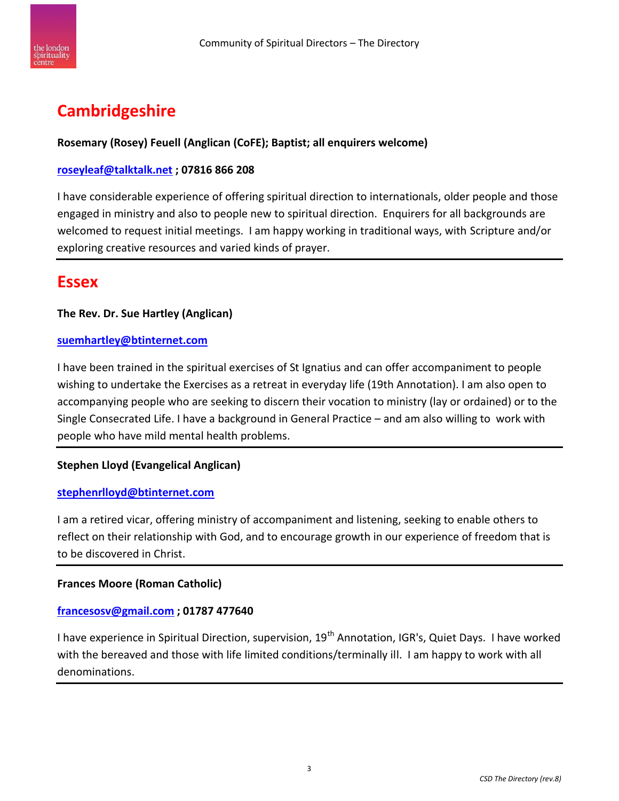

# **Cambridgeshire**

#### **Rosemary (Rosey) Feuell (Anglican (CoFE); Baptist; all enquirers welcome)**

#### **[roseyleaf@talktalk.net](mailto:roseyleaf@talktalk.net) ; 07816 866 208**

I have considerable experience of offering spiritual direction to internationals, older people and those engaged in ministry and also to people new to spiritual direction. Enquirers for all backgrounds are welcomed to request initial meetings. I am happy working in traditional ways, with Scripture and/or exploring creative resources and varied kinds of prayer.

## **Essex**

#### **The Rev. Dr. Sue Hartley (Anglican)**

#### **[suemhartley@btinternet.com](mailto:suemhartley@btinternet.com)**

I have been trained in the spiritual exercises of St Ignatius and can offer accompaniment to people wishing to undertake the Exercises as a retreat in everyday life (19th Annotation). I am also open to accompanying people who are seeking to discern their vocation to ministry (lay or ordained) or to the Single Consecrated Life. I have a background in General Practice – and am also willing to work with people who have mild mental health problems.

#### **Stephen Lloyd (Evangelical Anglican)**

#### **[stephenrlloyd@btinternet.com](mailto:stephenrlloyd@btinternet.com)**

I am a retired vicar, offering ministry of accompaniment and listening, seeking to enable others to reflect on their relationship with God, and to encourage growth in our experience of freedom that is to be discovered in Christ.

#### **Frances Moore (Roman Catholic)**

#### **[francesosv@gmail.com](mailto:francesosv@gmail.com) ; 01787 477640**

I have experience in Spiritual Direction, supervision,  $19<sup>th</sup>$  Annotation, IGR's, Quiet Days. I have worked with the bereaved and those with life limited conditions/terminally ill. I am happy to work with all denominations.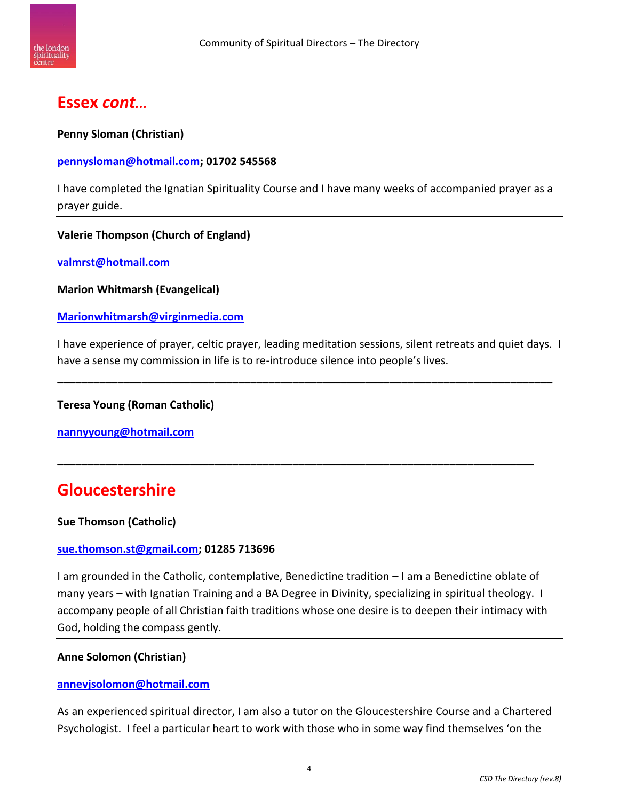

## **Essex** *cont…*

**Penny Sloman (Christian)**

#### **[pennysloman@hotmail.com;](mailto:pennysloman@hotmail.com) 01702 545568**

I have completed the Ignatian Spirituality Course and I have many weeks of accompanied prayer as a prayer guide.

#### **Valerie Thompson (Church of England)**

**[valmrst@hotmail.com](mailto:valmrst@hotmail.com)**

**Marion Whitmarsh (Evangelical)**

**[Marionwhitmarsh@virginmedia.com](mailto:Marionwhitmarsh@virginmedia.com)**

I have experience of prayer, celtic prayer, leading meditation sessions, silent retreats and quiet days. I have a sense my commission in life is to re-introduce silence into people's lives.

**\_\_\_\_\_\_\_\_\_\_\_\_\_\_\_\_\_\_\_\_\_\_\_\_\_\_\_\_\_\_\_\_\_\_\_\_\_\_\_\_\_\_\_\_\_\_\_\_\_\_\_\_\_\_\_\_\_\_\_\_\_\_\_\_\_\_\_\_\_\_\_\_\_\_\_\_\_\_\_\_\_\_**

**\_\_\_\_\_\_\_\_\_\_\_\_\_\_\_\_\_\_\_\_\_\_\_\_\_\_\_\_\_\_\_\_\_\_\_\_\_\_\_\_\_\_\_\_\_\_\_\_\_\_\_\_\_\_\_\_\_\_\_\_\_\_\_\_\_\_\_\_\_\_\_\_\_\_\_\_\_\_\_**

#### **Teresa Young (Roman Catholic)**

**[nannyyoung@hotmail.com](mailto:nannyyoung@hotmail.com)**

## **Gloucestershire**

#### **Sue Thomson (Catholic)**

#### **[sue.thomson.st@gmail.com;](mailto:sue.thomson.st@gmail.com) 01285 713696**

I am grounded in the Catholic, contemplative, Benedictine tradition – I am a Benedictine oblate of many years – with Ignatian Training and a BA Degree in Divinity, specializing in spiritual theology. I accompany people of all Christian faith traditions whose one desire is to deepen their intimacy with God, holding the compass gently.

#### **Anne Solomon (Christian)**

#### **[annevjsolomon@hotmail.com](mailto:annevjsolomon@hotmail.com)**

As an experienced spiritual director, I am also a tutor on the Gloucestershire Course and a Chartered Psychologist. I feel a particular heart to work with those who in some way find themselves 'on the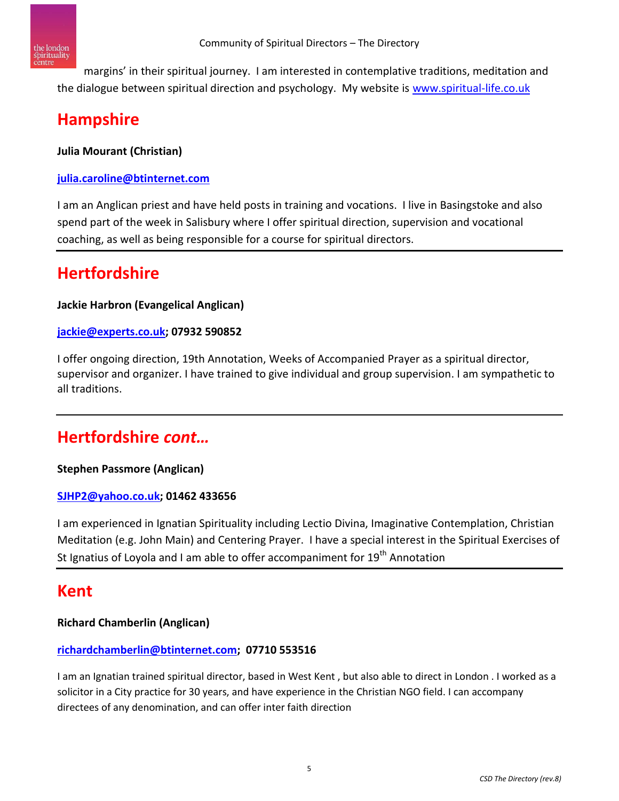

margins' in their spiritual journey. I am interested in contemplative traditions, meditation and the dialogue between spiritual direction and psychology. My website is [www.spiritual-life.co.uk](http://www.spiritual-life.co.uk/)

# **Hampshire**

**Julia Mourant (Christian)**

#### **[julia.caroline@btinternet.com](mailto:julia.caroline@btinternet.com)**

I am an Anglican priest and have held posts in training and vocations. I live in Basingstoke and also spend part of the week in Salisbury where I offer spiritual direction, supervision and vocational coaching, as well as being responsible for a course for spiritual directors.

# **Hertfordshire**

#### **Jackie Harbron (Evangelical Anglican)**

#### **[jackie@experts.co.uk;](mailto:jackie@experts.co.uk) 07932 590852**

I offer ongoing direction, 19th Annotation, Weeks of Accompanied Prayer as a spiritual director, supervisor and organizer. I have trained to give individual and group supervision. I am sympathetic to all traditions.

# **Hertfordshire** *cont…*

#### **Stephen Passmore (Anglican)**

#### **[SJHP2@yahoo.co.uk;](mailto:SJHP2@yahoo.co.uk) 01462 433656**

I am experienced in Ignatian Spirituality including Lectio Divina, Imaginative Contemplation, Christian Meditation (e.g. John Main) and Centering Prayer. I have a special interest in the Spiritual Exercises of St Ignatius of Loyola and I am able to offer accompaniment for  $19<sup>th</sup>$  Annotation

## **Kent**

#### **Richard Chamberlin (Anglican)**

#### **[richardchamberlin@btinternet.com;](mailto:richardchamberlin@btinternet.com) 07710 553516**

I am an Ignatian trained spiritual director, based in West Kent , but also able to direct in London . I worked as a solicitor in a City practice for 30 years, and have experience in the Christian NGO field. I can accompany directees of any denomination, and can offer inter faith direction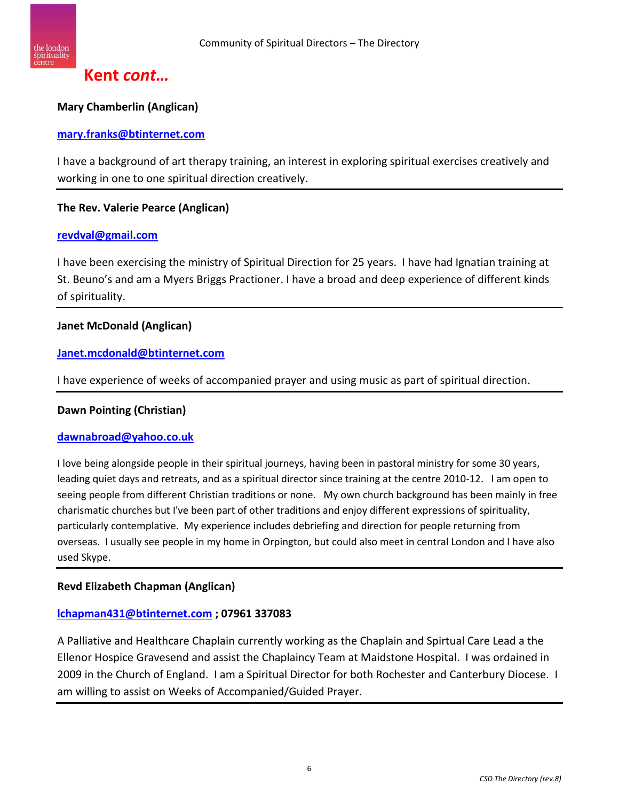

## **Kent** *cont…*

#### **Mary Chamberlin (Anglican)**

#### **[mary.franks@btinternet.com](mailto:mary.franks@btinternet.com)**

I have a background of art therapy training, an interest in exploring spiritual exercises creatively and working in one to one spiritual direction creatively.

#### **The Rev. Valerie Pearce (Anglican)**

#### **[revdval@gmail.com](mailto:revdval@gmail.com)**

I have been exercising the ministry of Spiritual Direction for 25 years. I have had Ignatian training at St. Beuno's and am a Myers Briggs Practioner. I have a broad and deep experience of different kinds of spirituality.

#### **Janet McDonald (Anglican)**

#### **[Janet.mcdonald@btinternet.com](mailto:Janet.mcdonald@btinternet.com)**

I have experience of weeks of accompanied prayer and using music as part of spiritual direction.

#### **Dawn Pointing (Christian)**

#### **[dawnabroad@yahoo.co.uk](mailto:dawnabroad@yahoo.co.uk)**

I love being alongside people in their spiritual journeys, having been in pastoral ministry for some 30 years, leading quiet days and retreats, and as a spiritual director since training at the centre 2010-12. I am open to seeing people from different Christian traditions or none. My own church background has been mainly in free charismatic churches but I've been part of other traditions and enjoy different expressions of spirituality, particularly contemplative. My experience includes debriefing and direction for people returning from overseas. I usually see people in my home in Orpington, but could also meet in central London and I have also used Skype.

#### **Revd Elizabeth Chapman (Anglican)**

#### **[lchapman431@btinternet.com](mailto:lchapman431@btinternet.com) ; 07961 337083**

A Palliative and Healthcare Chaplain currently working as the Chaplain and Spirtual Care Lead a the Ellenor Hospice Gravesend and assist the Chaplaincy Team at Maidstone Hospital. I was ordained in 2009 in the Church of England. I am a Spiritual Director for both Rochester and Canterbury Diocese. I am willing to assist on Weeks of Accompanied/Guided Prayer.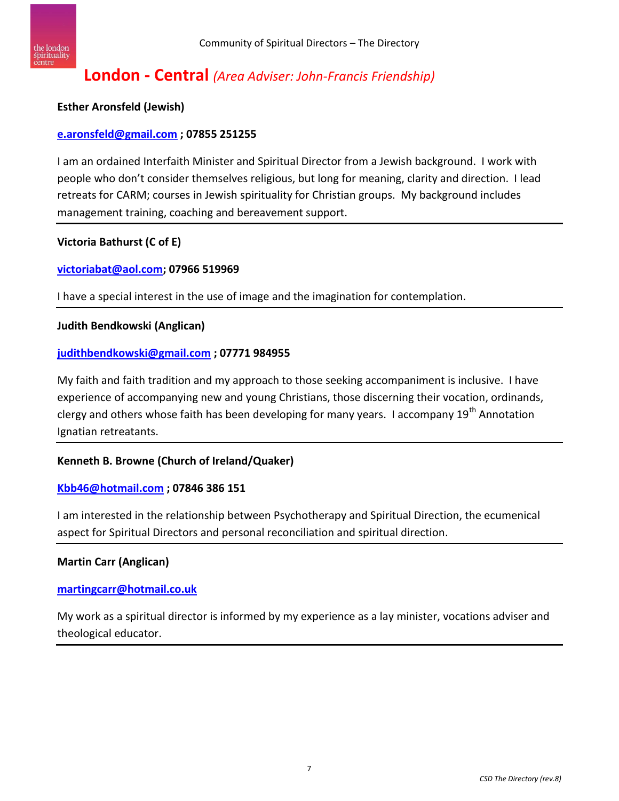

## **London - Central** *(Area Adviser: John-Francis Friendship)*

#### **Esther Aronsfeld (Jewish)**

#### **[e.aronsfeld@gmail.com](mailto:e.aronsfeld@gmail.com) ; 07855 251255**

I am an ordained Interfaith Minister and Spiritual Director from a Jewish background. I work with people who don't consider themselves religious, but long for meaning, clarity and direction. I lead retreats for CARM; courses in Jewish spirituality for Christian groups. My background includes management training, coaching and bereavement support.

#### **Victoria Bathurst (C of E)**

#### **[victoriabat@aol.com;](mailto:victoriabat@aol.com) 07966 519969**

I have a special interest in the use of image and the imagination for contemplation.

#### **Judith Bendkowski (Anglican)**

#### **[judithbendkowski@gmail.com](mailto:judithbendkowski@gmail.com) ; 07771 984955**

My faith and faith tradition and my approach to those seeking accompaniment is inclusive. I have experience of accompanying new and young Christians, those discerning their vocation, ordinands, clergy and others whose faith has been developing for many years. I accompany 19<sup>th</sup> Annotation Ignatian retreatants.

#### **Kenneth B. Browne (Church of Ireland/Quaker)**

#### **[Kbb46@hotmail.com](mailto:Kbb46@hotmail.com) ; 07846 386 151**

I am interested in the relationship between Psychotherapy and Spiritual Direction, the ecumenical aspect for Spiritual Directors and personal reconciliation and spiritual direction.

#### **Martin Carr (Anglican)**

#### **[martingcarr@hotmail.co.uk](mailto:martingcarr@hotmail.co.uk)**

My work as a spiritual director is informed by my experience as a lay minister, vocations adviser and theological educator.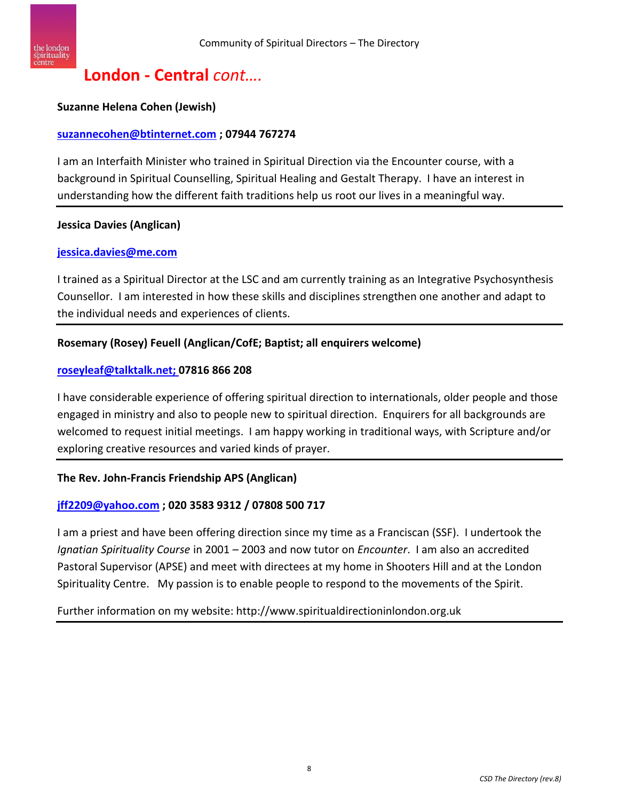

#### **Suzanne Helena Cohen (Jewish)**

#### **[suzannecohen@btinternet.com](mailto:suzannecohen@btinternet.com) ; 07944 767274**

I am an Interfaith Minister who trained in Spiritual Direction via the Encounter course, with a background in Spiritual Counselling, Spiritual Healing and Gestalt Therapy. I have an interest in understanding how the different faith traditions help us root our lives in a meaningful way.

#### **Jessica Davies (Anglican)**

#### **[jessica.davies@me.com](mailto:jessica.davies@me.com)**

I trained as a Spiritual Director at the LSC and am currently training as an Integrative Psychosynthesis Counsellor. I am interested in how these skills and disciplines strengthen one another and adapt to the individual needs and experiences of clients.

#### **Rosemary (Rosey) Feuell (Anglican/CofE; Baptist; all enquirers welcome)**

#### **[roseyleaf@talktalk.net;](mailto:roseyleaf@talktalk.net) 07816 866 208**

I have considerable experience of offering spiritual direction to internationals, older people and those engaged in ministry and also to people new to spiritual direction. Enquirers for all backgrounds are welcomed to request initial meetings. I am happy working in traditional ways, with Scripture and/or exploring creative resources and varied kinds of prayer.

#### **The Rev. John-Francis Friendship APS (Anglican)**

#### **[jff2209@yahoo.com](mailto:jff2209@yahoo.com) ; 020 3583 9312 / 07808 500 717**

I am a priest and have been offering direction since my time as a Franciscan (SSF). I undertook the *Ignatian Spirituality Course* in 2001 – 2003 and now tutor on *Encounter*. I am also an accredited Pastoral Supervisor (APSE) and meet with directees at my home in Shooters Hill and at the London Spirituality Centre. My passion is to enable people to respond to the movements of the Spirit.

Further information on my website: http://www.spiritualdirectioninlondon.org.uk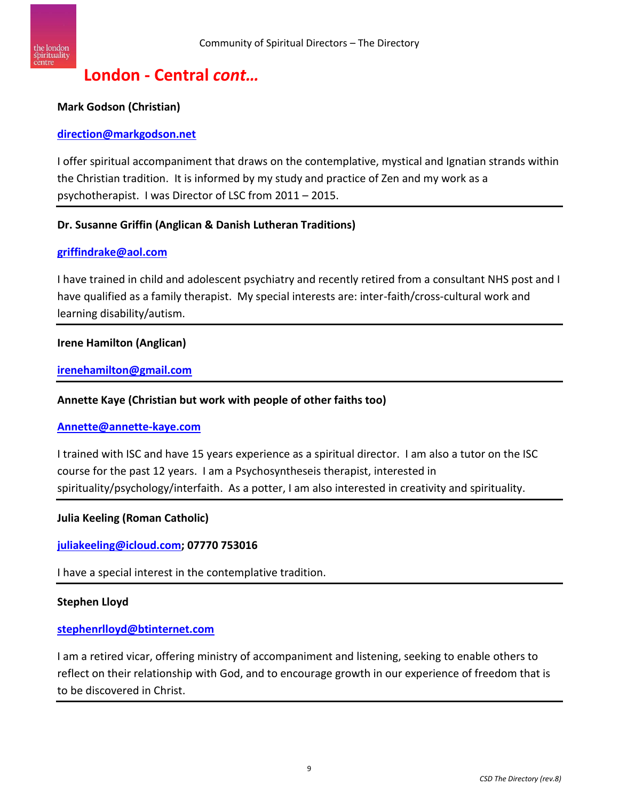

#### **Mark Godson (Christian)**

#### **[direction@markgodson.net](mailto:direction@markgodson.net)**

I offer spiritual accompaniment that draws on the contemplative, mystical and Ignatian strands within the Christian tradition. It is informed by my study and practice of Zen and my work as a psychotherapist. I was Director of LSC from 2011 – 2015.

#### **Dr. Susanne Griffin (Anglican & Danish Lutheran Traditions)**

#### **[griffindrake@aol.com](mailto:griffindrake@aol.com)**

I have trained in child and adolescent psychiatry and recently retired from a consultant NHS post and I have qualified as a family therapist. My special interests are: inter-faith/cross-cultural work and learning disability/autism.

#### **Irene Hamilton (Anglican)**

#### **[irenehamilton@gmail.com](mailto:irenehamilton@gmail.com)**

#### **Annette Kaye (Christian but work with people of other faiths too)**

#### **[Annette@annette-kaye.com](mailto:Annette@annette-kaye.com)**

I trained with ISC and have 15 years experience as a spiritual director. I am also a tutor on the ISC course for the past 12 years. I am a Psychosyntheseis therapist, interested in spirituality/psychology/interfaith. As a potter, I am also interested in creativity and spirituality.

#### **Julia Keeling (Roman Catholic)**

**[juliakeeling@icloud.com;](mailto:juliakeeling@icloud.com) 07770 753016**

I have a special interest in the contemplative tradition.

#### **Stephen Lloyd**

#### **[stephenrlloyd@btinternet.com](mailto:stephenrlloyd@btinternet.com)**

I am a retired vicar, offering ministry of accompaniment and listening, seeking to enable others to reflect on their relationship with God, and to encourage growth in our experience of freedom that is to be discovered in Christ.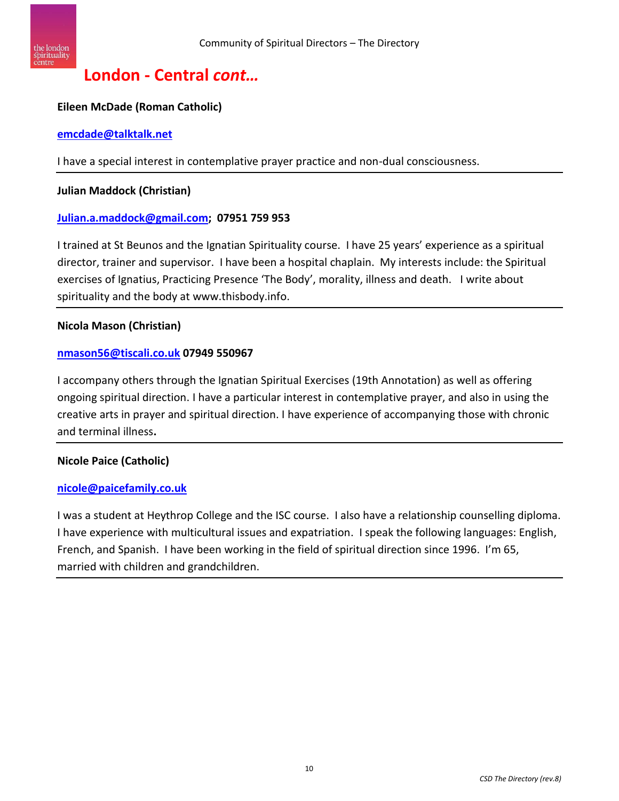

#### **Eileen McDade (Roman Catholic)**

#### **[emcdade@talktalk.net](mailto:emcdade@talktalk.net)**

I have a special interest in contemplative prayer practice and non-dual consciousness.

#### **Julian Maddock (Christian)**

#### **[Julian.a.maddock@gmail.com;](mailto:Julian.a.maddock@gmail.com) 07951 759 953**

I trained at St Beunos and the Ignatian Spirituality course. I have 25 years' experience as a spiritual director, trainer and supervisor. I have been a hospital chaplain. My interests include: the Spiritual exercises of Ignatius, Practicing Presence 'The Body', morality, illness and death. I write about spirituality and the body at www.thisbody.info.

#### **Nicola Mason (Christian)**

#### **[nmason56@tiscali.co.uk](mailto:nmason56@tiscali.co.uk) 07949 550967**

I accompany others through the Ignatian Spiritual Exercises (19th Annotation) as well as offering ongoing spiritual direction. I have a particular interest in contemplative prayer, and also in using the creative arts in prayer and spiritual direction. I have experience of accompanying those with chronic and terminal illness**.**

#### **Nicole Paice (Catholic)**

#### **[nicole@paicefamily.co.uk](mailto:nicole@paicefamily.co.uk)**

I was a student at Heythrop College and the ISC course. I also have a relationship counselling diploma. I have experience with multicultural issues and expatriation. I speak the following languages: English, French, and Spanish. I have been working in the field of spiritual direction since 1996. I'm 65, married with children and grandchildren.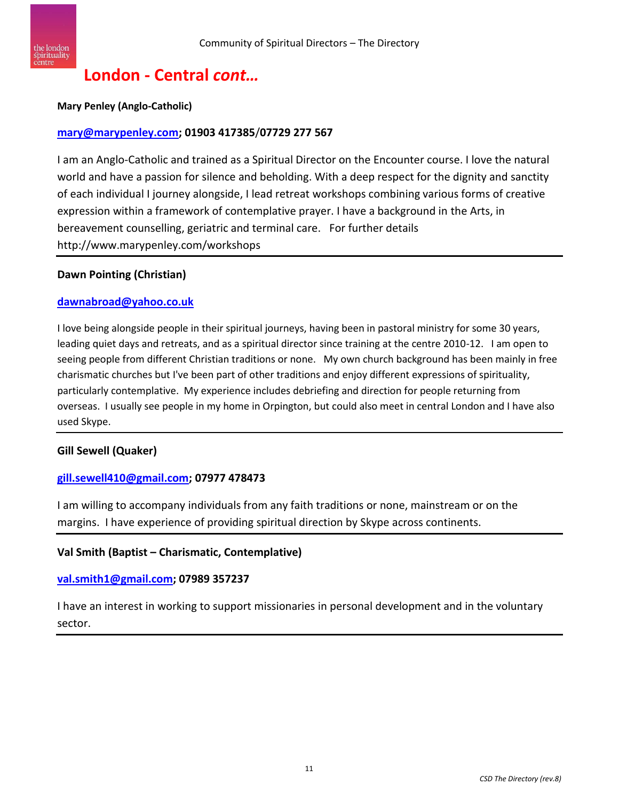

#### **Mary Penley (Anglo-Catholic)**

#### **[mary@marypenley.com;](mailto:mary@marypenley.com) 01903 417385**/**07729 277 567**

I am an Anglo-Catholic and trained as a Spiritual Director on the Encounter course. I love the natural world and have a passion for silence and beholding. With a deep respect for the dignity and sanctity of each individual I journey alongside, I lead retreat workshops combining various forms of creative expression within a framework of contemplative prayer. I have a background in the Arts, in bereavement counselling, geriatric and terminal care. For further details http://www.marypenley.com/workshops

#### **Dawn Pointing (Christian)**

#### **[dawnabroad@yahoo.co.uk](mailto:dawnabroad@yahoo.co.uk)**

I love being alongside people in their spiritual journeys, having been in pastoral ministry for some 30 years, leading quiet days and retreats, and as a spiritual director since training at the centre 2010-12. I am open to seeing people from different Christian traditions or none. My own church background has been mainly in free charismatic churches but I've been part of other traditions and enjoy different expressions of spirituality, particularly contemplative. My experience includes debriefing and direction for people returning from overseas. I usually see people in my home in Orpington, but could also meet in central London and I have also used Skype.

#### **Gill Sewell (Quaker)**

#### **[gill.sewell410@gmail.com;](mailto:gill.sewell410@gmail.com) 07977 478473**

I am willing to accompany individuals from any faith traditions or none, mainstream or on the margins. I have experience of providing spiritual direction by Skype across continents.

#### **Val Smith (Baptist – Charismatic, Contemplative)**

#### **[val.smith1@gmail.com;](mailto:val.smith1@gmail.com) 07989 357237**

I have an interest in working to support missionaries in personal development and in the voluntary sector.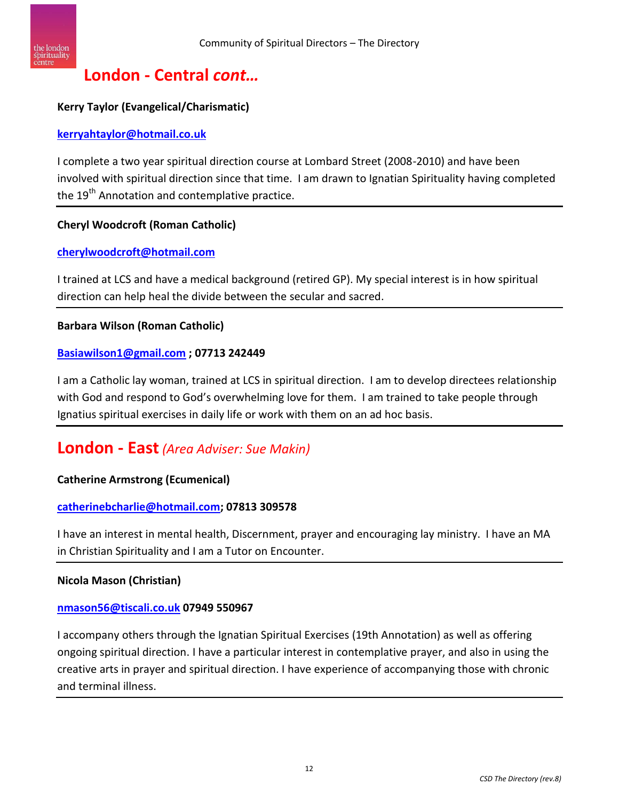

#### **Kerry Taylor (Evangelical/Charismatic)**

#### **[kerryahtaylor@hotmail.co.uk](mailto:kerryahtaylor@hotmail.co.uk)**

I complete a two year spiritual direction course at Lombard Street (2008-2010) and have been involved with spiritual direction since that time. I am drawn to Ignatian Spirituality having completed the 19<sup>th</sup> Annotation and contemplative practice.

#### **Cheryl Woodcroft (Roman Catholic)**

#### **[cherylwoodcroft@hotmail.com](mailto:cherylwoodcroft@hotmail.com)**

I trained at LCS and have a medical background (retired GP). My special interest is in how spiritual direction can help heal the divide between the secular and sacred.

#### **Barbara Wilson (Roman Catholic)**

#### **[Basiawilson1@gmail.com](mailto:Basiawilson1@gmail.com) ; 07713 242449**

I am a Catholic lay woman, trained at LCS in spiritual direction. I am to develop directees relationship with God and respond to God's overwhelming love for them. I am trained to take people through Ignatius spiritual exercises in daily life or work with them on an ad hoc basis.

## **London - East***(Area Adviser: Sue Makin)*

#### **Catherine Armstrong (Ecumenical)**

#### **[catherinebcharlie@hotmail.com;](mailto:catherinebcharlie@hotmail.com) 07813 309578**

I have an interest in mental health, Discernment, prayer and encouraging lay ministry. I have an MA in Christian Spirituality and I am a Tutor on Encounter.

#### **Nicola Mason (Christian)**

#### **[nmason56@tiscali.co.uk](mailto:nmason56@tiscali.co.uk) 07949 550967**

I accompany others through the Ignatian Spiritual Exercises (19th Annotation) as well as offering ongoing spiritual direction. I have a particular interest in contemplative prayer, and also in using the creative arts in prayer and spiritual direction. I have experience of accompanying those with chronic and terminal illness.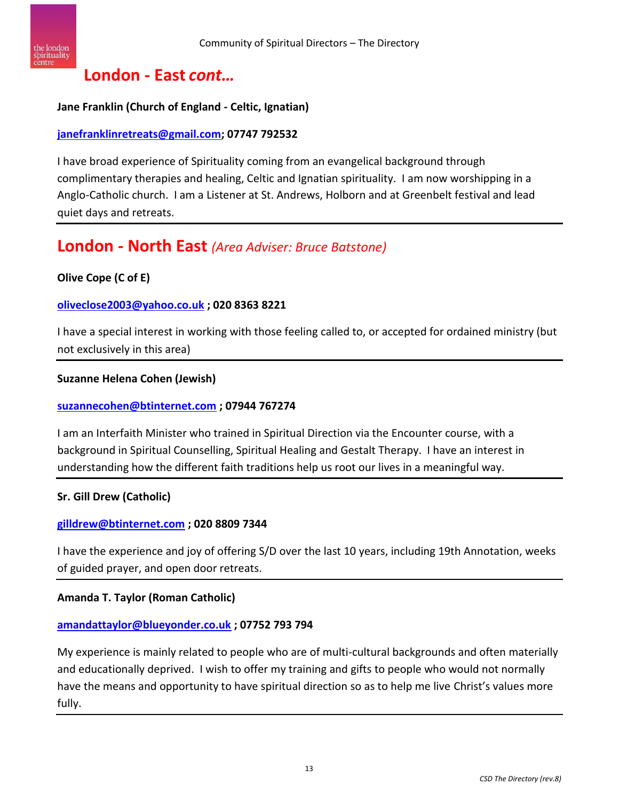

## **London - East** *cont…*

#### **Jane Franklin (Church of England - Celtic, Ignatian)**

#### **[janefranklinretreats@gmail.com;](mailto:janefranklinretreats@gmail.com) 07747 792532**

I have broad experience of Spirituality coming from an evangelical background through complimentary therapies and healing, Celtic and Ignatian spirituality. I am now worshipping in a Anglo-Catholic church. I am a Listener at St. Andrews, Holborn and at Greenbelt festival and lead quiet days and retreats.

## **London - North East** *(Area Adviser: Bruce Batstone)*

#### **Olive Cope (C of E)**

#### **[oliveclose2003@yahoo.co.uk](mailto:oliveclose2003@yahoo.co.uk) ; 020 8363 8221**

I have a special interest in working with those feeling called to, or accepted for ordained ministry (but not exclusively in this area)

#### **Suzanne Helena Cohen (Jewish)**

#### **[suzannecohen@btinternet.com](mailto:suzannecohen@btinternet.com) ; 07944 767274**

I am an Interfaith Minister who trained in Spiritual Direction via the Encounter course, with a background in Spiritual Counselling, Spiritual Healing and Gestalt Therapy. I have an interest in understanding how the different faith traditions help us root our lives in a meaningful way.

#### **Sr. Gill Drew (Catholic)**

#### **[gilldrew@btinternet.com](mailto:gilldrew@btinternet.com) ; 020 8809 7344**

I have the experience and joy of offering S/D over the last 10 years, including 19th Annotation, weeks of guided prayer, and open door retreats.

#### **Amanda T. Taylor (Roman Catholic)**

#### **[amandattaylor@blueyonder.co.uk](mailto:amandattaylor@blueyonder.co.uk) ; 07752 793 794**

My experience is mainly related to people who are of multi-cultural backgrounds and often materially and educationally deprived. I wish to offer my training and gifts to people who would not normally have the means and opportunity to have spiritual direction so as to help me live Christ's values more fully.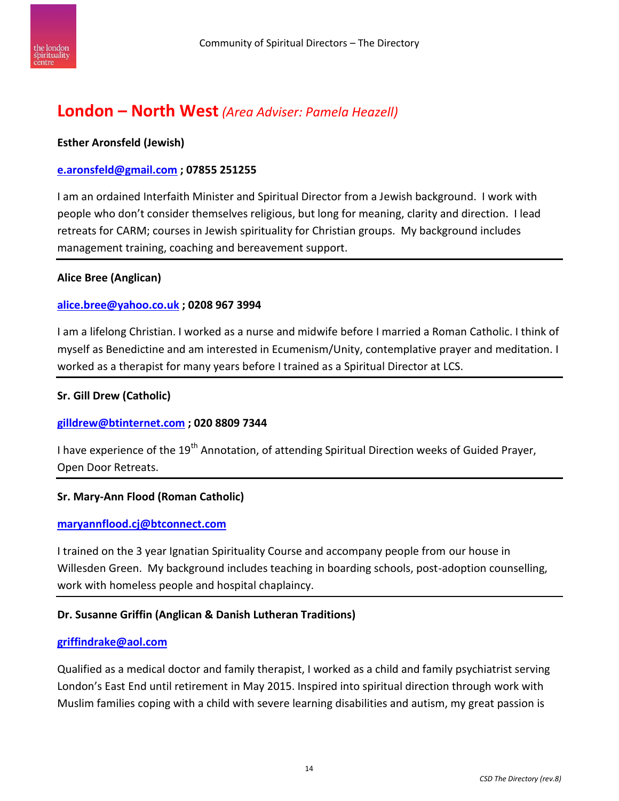

## **London – North West** *(Area Adviser: Pamela Heazell)*

#### **Esther Aronsfeld (Jewish)**

#### **[e.aronsfeld@gmail.com](mailto:e.aronsfeld@gmail.com) ; 07855 251255**

I am an ordained Interfaith Minister and Spiritual Director from a Jewish background. I work with people who don't consider themselves religious, but long for meaning, clarity and direction. I lead retreats for CARM; courses in Jewish spirituality for Christian groups. My background includes management training, coaching and bereavement support.

#### **Alice Bree (Anglican)**

#### **[alice.bree@yahoo.co.uk](mailto:alice.bree@yahoo.co.uk) ; 0208 967 3994**

I am a lifelong Christian. I worked as a nurse and midwife before I married a Roman Catholic. I think of myself as Benedictine and am interested in Ecumenism/Unity, contemplative prayer and meditation. I worked as a therapist for many years before I trained as a Spiritual Director at LCS.

#### **Sr. Gill Drew (Catholic)**

#### **[gilldrew@btinternet.com](mailto:gilldrew@btinternet.com) ; 020 8809 7344**

I have experience of the 19<sup>th</sup> Annotation, of attending Spiritual Direction weeks of Guided Prayer, Open Door Retreats.

#### **Sr. Mary-Ann Flood (Roman Catholic)**

#### **[maryannflood.cj@btconnect.com](mailto:maryannflood.cj@btconnect.com)**

I trained on the 3 year Ignatian Spirituality Course and accompany people from our house in Willesden Green. My background includes teaching in boarding schools, post-adoption counselling, work with homeless people and hospital chaplaincy.

#### **Dr. Susanne Griffin (Anglican & Danish Lutheran Traditions)**

#### **[griffindrake@aol.com](mailto:griffindrake@aol.com)**

Qualified as a medical doctor and family therapist, I worked as a child and family psychiatrist serving London's East End until retirement in May 2015. Inspired into spiritual direction through work with Muslim families coping with a child with severe learning disabilities and autism, my great passion is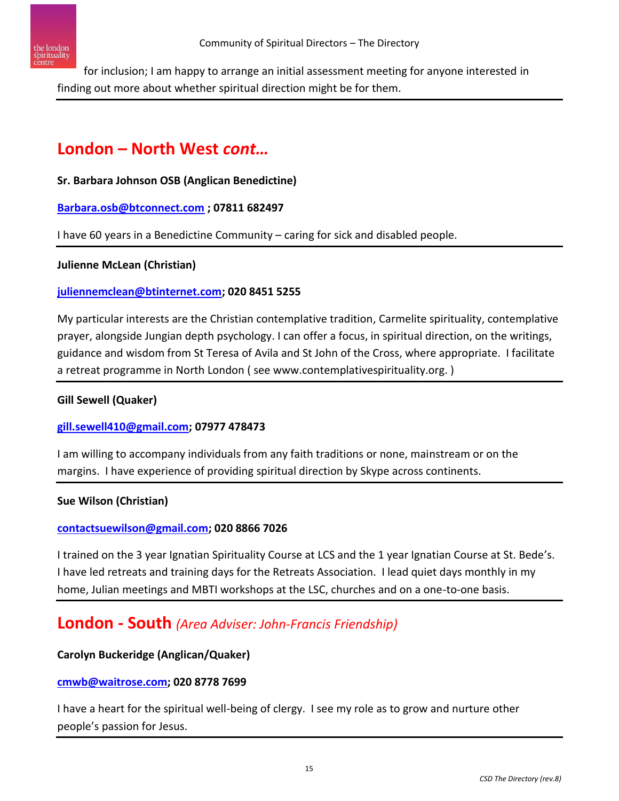

for inclusion; I am happy to arrange an initial assessment meeting for anyone interested in finding out more about whether spiritual direction might be for them.

# **London – North West** *cont…*

#### **Sr. Barbara Johnson OSB (Anglican Benedictine)**

#### **[Barbara.osb@btconnect.com](mailto:Barbara.osb@btconnect.com) ; 07811 682497**

I have 60 years in a Benedictine Community – caring for sick and disabled people.

#### **Julienne McLean (Christian)**

#### **[juliennemclean@btinternet.com;](mailto:juliennemclean@btinternet.com) 020 8451 5255**

My particular interests are the Christian contemplative tradition, Carmelite spirituality, contemplative prayer, alongside Jungian depth psychology. I can offer a focus, in spiritual direction, on the writings, guidance and wisdom from St Teresa of Avila and St John of the Cross, where appropriate. I facilitate a retreat programme in North London ( see www.contemplativespirituality.org. )

#### **Gill Sewell (Quaker)**

#### **[gill.sewell410@gmail.com;](mailto:gill.sewell410@gmail.com) 07977 478473**

I am willing to accompany individuals from any faith traditions or none, mainstream or on the margins. I have experience of providing spiritual direction by Skype across continents.

#### **Sue Wilson (Christian)**

#### **[contactsuewilson@gmail.com;](mailto:contactsuewilson@gmail.com) 020 8866 7026**

I trained on the 3 year Ignatian Spirituality Course at LCS and the 1 year Ignatian Course at St. Bede's. I have led retreats and training days for the Retreats Association. I lead quiet days monthly in my home, Julian meetings and MBTI workshops at the LSC, churches and on a one-to-one basis.

## **London - South** *(Area Adviser: John-Francis Friendship)*

#### **Carolyn Buckeridge (Anglican/Quaker)**

#### **[cmwb@waitrose.com;](mailto:cmwb@waitrose.com) 020 8778 7699**

I have a heart for the spiritual well-being of clergy. I see my role as to grow and nurture other people's passion for Jesus.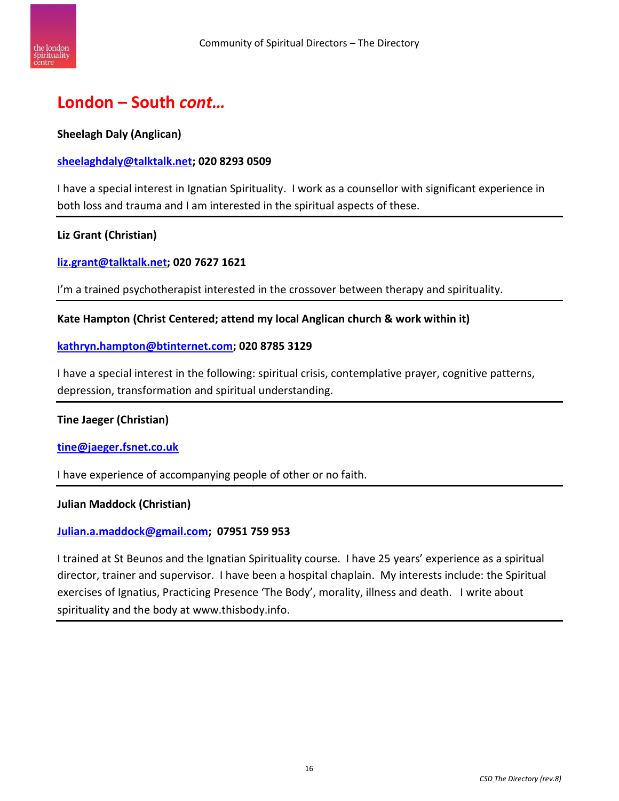

# **London – South** *cont…*

#### **Sheelagh Daly (Anglican)**

#### **[sheelaghdaly@talktalk.net;](mailto:sheelaghdaly@talktalk.net) 020 8293 0509**

I have a special interest in Ignatian Spirituality. I work as a counsellor with significant experience in both loss and trauma and I am interested in the spiritual aspects of these.

#### **Liz Grant (Christian)**

**[liz.grant@talktalk.net;](mailto:liz.grant@talktalk.net) 020 7627 1621**

I'm a trained psychotherapist interested in the crossover between therapy and spirituality.

#### **Kate Hampton (Christ Centered; attend my local Anglican church & work within it)**

#### **[kathryn.hampton@btinternet.com;](mailto:kathryn.hampton@btinternet.com) 020 8785 3129**

I have a special interest in the following: spiritual crisis, contemplative prayer, cognitive patterns, depression, transformation and spiritual understanding.

#### **Tine Jaeger (Christian)**

#### **[tine@jaeger.fsnet.co.uk](mailto:tine@jaeger.fsnet.co.uk)**

I have experience of accompanying people of other or no faith.

#### **Julian Maddock (Christian)**

#### **[Julian.a.maddock@gmail.com;](mailto:Julian.a.maddock@gmail.com) 07951 759 953**

I trained at St Beunos and the Ignatian Spirituality course. I have 25 years' experience as a spiritual director, trainer and supervisor. I have been a hospital chaplain. My interests include: the Spiritual exercises of Ignatius, Practicing Presence 'The Body', morality, illness and death. I write about spirituality and the body at www.thisbody.info.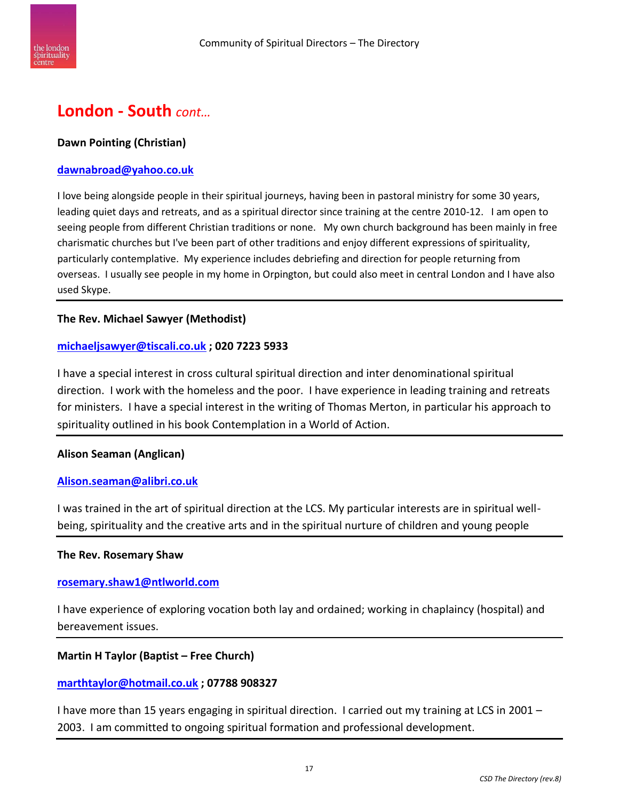

## **London - South** *cont…*

#### **Dawn Pointing (Christian)**

#### **[dawnabroad@yahoo.co.uk](mailto:dawnabroad@yahoo.co.uk)**

I love being alongside people in their spiritual journeys, having been in pastoral ministry for some 30 years, leading quiet days and retreats, and as a spiritual director since training at the centre 2010-12. I am open to seeing people from different Christian traditions or none. My own church background has been mainly in free charismatic churches but I've been part of other traditions and enjoy different expressions of spirituality, particularly contemplative. My experience includes debriefing and direction for people returning from overseas. I usually see people in my home in Orpington, but could also meet in central London and I have also used Skype.

#### **The Rev. Michael Sawyer (Methodist)**

#### **[michaeljsawyer@tiscali.co.uk](mailto:michaeljsawyer@tiscali.co.uk) ; 020 7223 5933**

I have a special interest in cross cultural spiritual direction and inter denominational spiritual direction. I work with the homeless and the poor. I have experience in leading training and retreats for ministers. I have a special interest in the writing of Thomas Merton, in particular his approach to spirituality outlined in his book Contemplation in a World of Action.

#### **Alison Seaman (Anglican)**

#### **[Alison.seaman@alibri.co.uk](mailto:Alison.seaman@alibri.co.uk)**

I was trained in the art of spiritual direction at the LCS. My particular interests are in spiritual wellbeing, spirituality and the creative arts and in the spiritual nurture of children and young people

#### **The Rev. Rosemary Shaw**

#### **[rosemary.shaw1@ntlworld.com](mailto:rosemary.shaw1@ntlworld.com)**

I have experience of exploring vocation both lay and ordained; working in chaplaincy (hospital) and bereavement issues.

#### **Martin H Taylor (Baptist – Free Church)**

#### **[marthtaylor@hotmail.co.uk](mailto:marthtaylor@hotmail.co.uk) ; 07788 908327**

I have more than 15 years engaging in spiritual direction. I carried out my training at LCS in 2001 – 2003. I am committed to ongoing spiritual formation and professional development.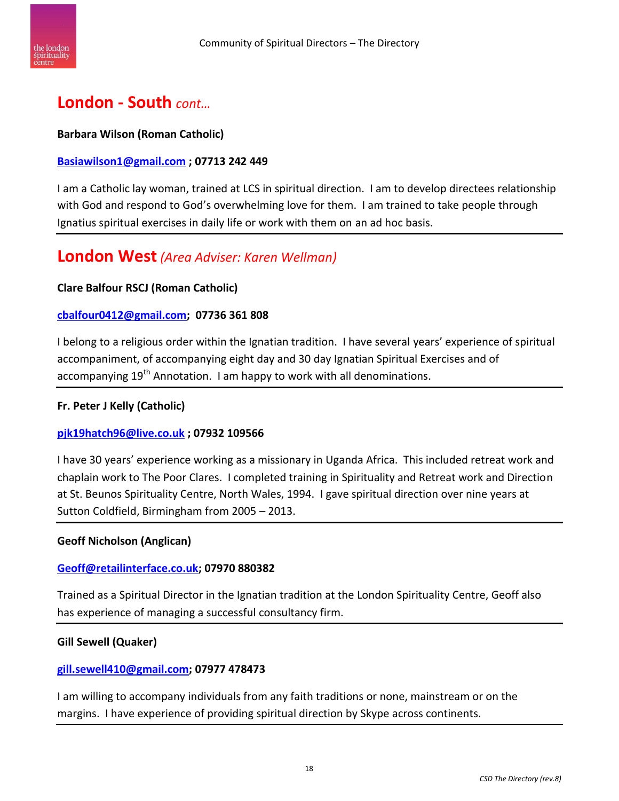

## **London - South** *cont…*

#### **Barbara Wilson (Roman Catholic)**

#### **[Basiawilson1@gmail.com](mailto:Basiawilson1@gmail.com) ; 07713 242 449**

I am a Catholic lay woman, trained at LCS in spiritual direction. I am to develop directees relationship with God and respond to God's overwhelming love for them. I am trained to take people through Ignatius spiritual exercises in daily life or work with them on an ad hoc basis.

## **London West** *(Area Adviser: Karen Wellman)*

#### **Clare Balfour RSCJ (Roman Catholic)**

#### **[cbalfour0412@gmail.com;](mailto:cbalfour0412@gmail.com) 07736 361 808**

I belong to a religious order within the Ignatian tradition. I have several years' experience of spiritual accompaniment, of accompanying eight day and 30 day Ignatian Spiritual Exercises and of accompanying 19<sup>th</sup> Annotation. I am happy to work with all denominations.

#### **Fr. Peter J Kelly (Catholic)**

#### **[pjk19hatch96@live.co.uk](mailto:pjk19hatch96@live.co.uk) ; 07932 109566**

I have 30 years' experience working as a missionary in Uganda Africa. This included retreat work and chaplain work to The Poor Clares. I completed training in Spirituality and Retreat work and Direction at St. Beunos Spirituality Centre, North Wales, 1994. I gave spiritual direction over nine years at Sutton Coldfield, Birmingham from 2005 – 2013.

#### **Geoff Nicholson (Anglican)**

#### **[Geoff@retailinterface.co.uk;](mailto:Geoff@retailinterface.co.uk) 07970 880382**

Trained as a Spiritual Director in the Ignatian tradition at the London Spirituality Centre, Geoff also has experience of managing a successful consultancy firm.

#### **Gill Sewell (Quaker)**

#### **[gill.sewell410@gmail.com;](mailto:gill.sewell410@gmail.com) 07977 478473**

I am willing to accompany individuals from any faith traditions or none, mainstream or on the margins. I have experience of providing spiritual direction by Skype across continents.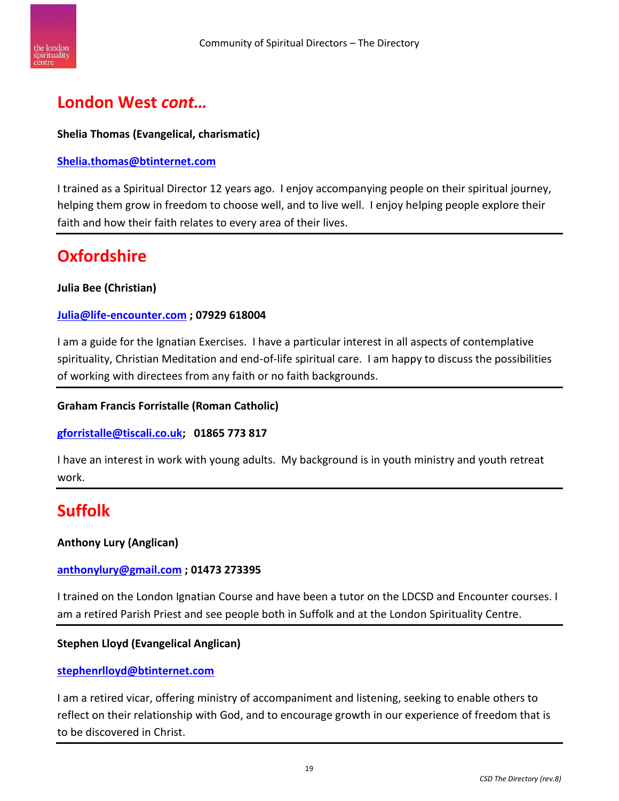

## **London West** *cont…*

#### **Shelia Thomas (Evangelical, charismatic)**

#### **[Shelia.thomas@btinternet.com](mailto:Shelia.thomas@btinternet.com)**

I trained as a Spiritual Director 12 years ago. I enjoy accompanying people on their spiritual journey, helping them grow in freedom to choose well, and to live well. I enjoy helping people explore their faith and how their faith relates to every area of their lives.

# **Oxfordshire**

#### **Julia Bee (Christian)**

#### **[Julia@life-encounter.com](mailto:Julia@life-encounter.com) ; 07929 618004**

I am a guide for the Ignatian Exercises. I have a particular interest in all aspects of contemplative spirituality, Christian Meditation and end-of-life spiritual care. I am happy to discuss the possibilities of working with directees from any faith or no faith backgrounds.

#### **Graham Francis Forristalle (Roman Catholic)**

#### **[gforristalle@tiscali.co.uk;](mailto:gforristalle@tiscali.co.uk) 01865 773 817**

I have an interest in work with young adults. My background is in youth ministry and youth retreat work.

## **Suffolk**

#### **Anthony Lury (Anglican)**

#### **[anthonylury@gmail.com](mailto:anthonylury@gmail.com) ; 01473 273395**

I trained on the London Ignatian Course and have been a tutor on the LDCSD and Encounter courses. I am a retired Parish Priest and see people both in Suffolk and at the London Spirituality Centre.

#### **Stephen Lloyd (Evangelical Anglican)**

#### **[stephenrlloyd@btinternet.com](mailto:stephenrlloyd@btinternet.com)**

I am a retired vicar, offering ministry of accompaniment and listening, seeking to enable others to reflect on their relationship with God, and to encourage growth in our experience of freedom that is to be discovered in Christ.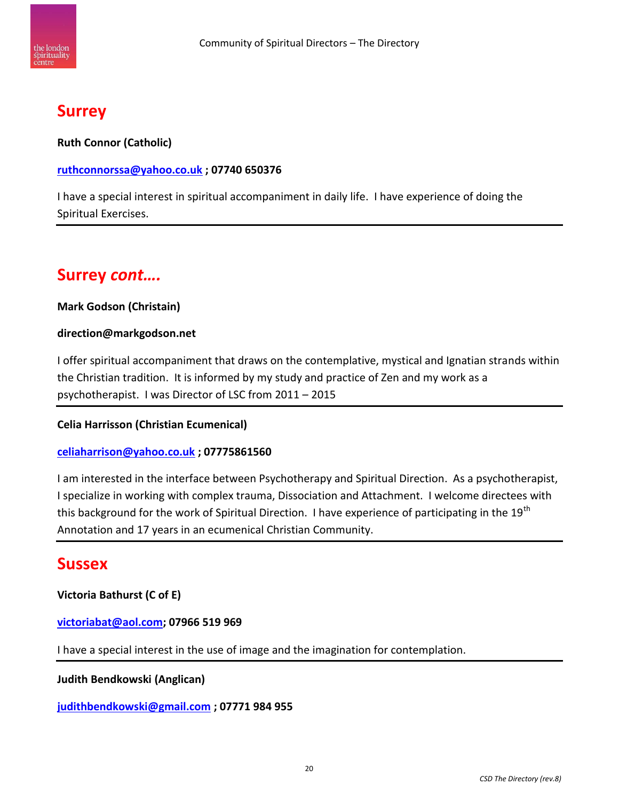

## **Surrey**

**Ruth Connor (Catholic)**

#### **[ruthconnorssa@yahoo.co.uk](mailto:ruthconnorssa@yahoo.co.uk) ; 07740 650376**

I have a special interest in spiritual accompaniment in daily life. I have experience of doing the Spiritual Exercises.

## **Surrey** *cont….*

#### **Mark Godson (Christain)**

#### **direction@markgodson.net**

I offer spiritual accompaniment that draws on the contemplative, mystical and Ignatian strands within the Christian tradition. It is informed by my study and practice of Zen and my work as a psychotherapist. I was Director of LSC from 2011 – 2015

#### **Celia Harrisson (Christian Ecumenical)**

#### **[celiaharrison@yahoo.co.uk](mailto:celiaharrison@yahoo.co.uk) ; 07775861560**

I am interested in the interface between Psychotherapy and Spiritual Direction. As a psychotherapist, I specialize in working with complex trauma, Dissociation and Attachment. I welcome directees with this background for the work of Spiritual Direction. I have experience of participating in the 19<sup>th</sup> Annotation and 17 years in an ecumenical Christian Community.

## **Sussex**

#### **Victoria Bathurst (C of E)**

#### **[victoriabat@aol.com;](mailto:victoriabat@aol.com) 07966 519 969**

I have a special interest in the use of image and the imagination for contemplation.

#### **Judith Bendkowski (Anglican)**

**[judithbendkowski@gmail.com](mailto:judithbendkowski@gmail.com) ; 07771 984 955**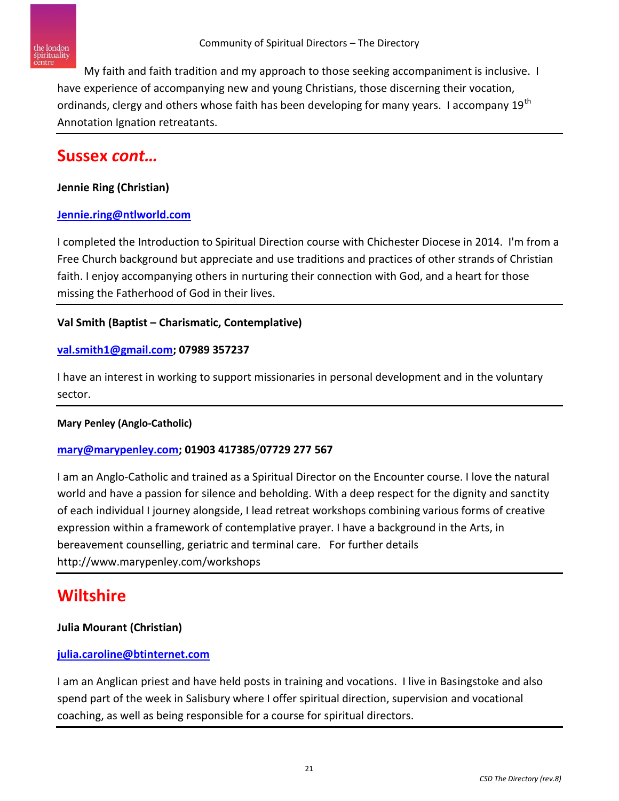

My faith and faith tradition and my approach to those seeking accompaniment is inclusive. I have experience of accompanying new and young Christians, those discerning their vocation, ordinands, clergy and others whose faith has been developing for many years. I accompany 19<sup>th</sup> Annotation Ignation retreatants.

## **Sussex** *cont…*

#### **Jennie Ring (Christian)**

#### **[Jennie.ring@ntlworld.com](mailto:Jennie.ring@ntlworld.com)**

I completed the Introduction to Spiritual Direction course with Chichester Diocese in 2014. I'm from a Free Church background but appreciate and use traditions and practices of other strands of Christian faith. I enjoy accompanying others in nurturing their connection with God, and a heart for those missing the Fatherhood of God in their lives.

#### **Val Smith (Baptist – Charismatic, Contemplative)**

#### **[val.smith1@gmail.com;](mailto:val.smith1@gmail.com) 07989 357237**

I have an interest in working to support missionaries in personal development and in the voluntary sector.

#### **Mary Penley (Anglo-Catholic)**

#### **[mary@marypenley.com;](mailto:mary@marypenley.com) 01903 417385**/**07729 277 567**

I am an Anglo-Catholic and trained as a Spiritual Director on the Encounter course. I love the natural world and have a passion for silence and beholding. With a deep respect for the dignity and sanctity of each individual I journey alongside, I lead retreat workshops combining various forms of creative expression within a framework of contemplative prayer. I have a background in the Arts, in bereavement counselling, geriatric and terminal care. For further details http://www.marypenley.com/workshops

## **Wiltshire**

#### **Julia Mourant (Christian)**

#### **[julia.caroline@btinternet.com](mailto:julia.caroline@btinternet.com)**

I am an Anglican priest and have held posts in training and vocations. I live in Basingstoke and also spend part of the week in Salisbury where I offer spiritual direction, supervision and vocational coaching, as well as being responsible for a course for spiritual directors.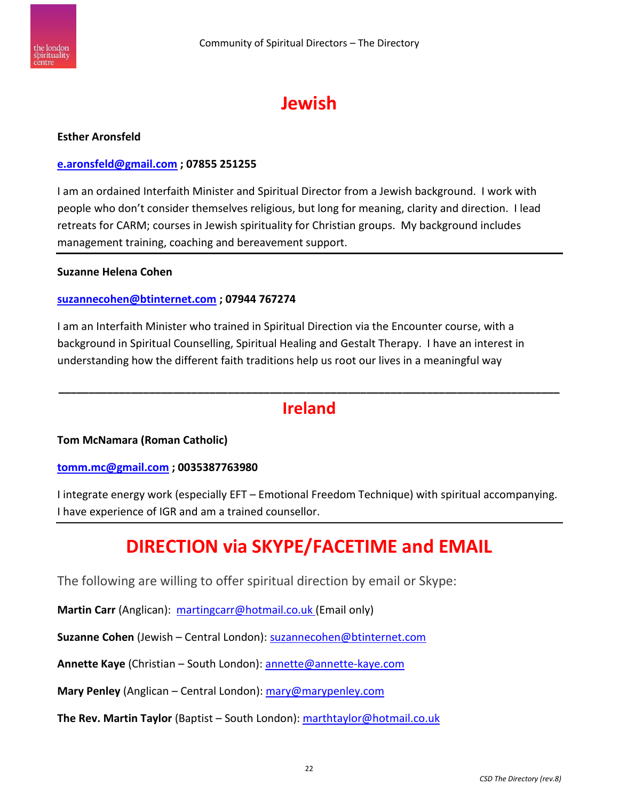



#### **Esther Aronsfeld**

#### **[e.aronsfeld@gmail.com](mailto:e.aronsfeld@gmail.com) ; 07855 251255**

I am an ordained Interfaith Minister and Spiritual Director from a Jewish background. I work with people who don't consider themselves religious, but long for meaning, clarity and direction. I lead retreats for CARM; courses in Jewish spirituality for Christian groups. My background includes management training, coaching and bereavement support.

#### **Suzanne Helena Cohen**

#### **[suzannecohen@btinternet.com](mailto:suzannecohen@btinternet.com) ; 07944 767274**

I am an Interfaith Minister who trained in Spiritual Direction via the Encounter course, with a background in Spiritual Counselling, Spiritual Healing and Gestalt Therapy. I have an interest in understanding how the different faith traditions help us root our lives in a meaningful way

## **\_\_\_\_\_\_\_\_\_\_\_\_\_\_\_\_\_\_\_\_\_\_\_\_\_\_\_\_\_\_\_\_\_\_\_\_\_\_\_\_\_\_\_\_\_\_\_\_\_\_\_\_\_\_\_\_\_\_\_\_\_\_\_\_\_\_\_\_\_\_\_\_\_\_\_\_\_\_\_\_\_\_\_ Ireland**

#### **Tom McNamara (Roman Catholic)**

#### **[tomm.mc@gmail.com](mailto:tomm.mc@gmail.com) ; 0035387763980**

I integrate energy work (especially EFT – Emotional Freedom Technique) with spiritual accompanying. I have experience of IGR and am a trained counsellor.

## **DIRECTION via SKYPE/FACETIME and EMAIL**

The following are willing to offer spiritual direction by email or Skype:

**Martin Carr** (Anglican): [martingcarr@hotmail.co.uk](mailto:martingcarr@hotmail.co.uk) (Email only)

**Suzanne Cohen** (Jewish – Central London): [suzannecohen@btinternet.com](mailto:suzannecohen@btinternet.com)

**Annette Kaye** (Christian – South London): [annette@annette-kaye.com](mailto:annette@annette-kaye.com)

**Mary Penley** (Anglican – Central London): [mary@marypenley.com](mailto:mary@marypenley.com)

**The Rev. Martin Taylor** (Baptist – South London): [marthtaylor@hotmail.co.uk](mailto:marthtaylor@hotmail.co.uk)